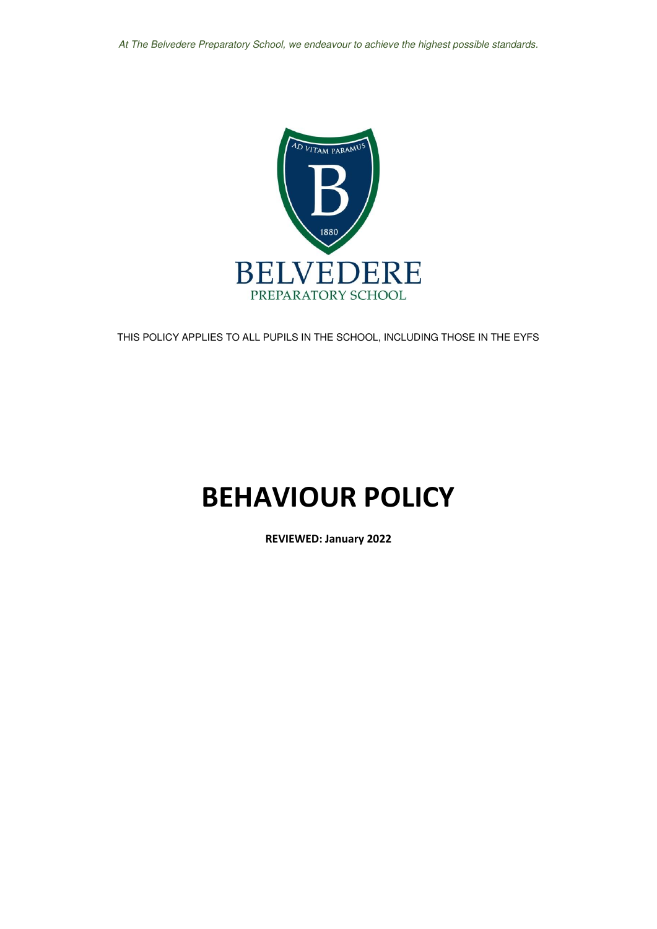At The Belvedere Preparatory School, we endeavour to achieve the highest possible standards.



THIS POLICY APPLIES TO ALL PUPILS IN THE SCHOOL, INCLUDING THOSE IN THE EYFS

# **BEHAVIOUR POLICY**

**REVIEWED: January 2022**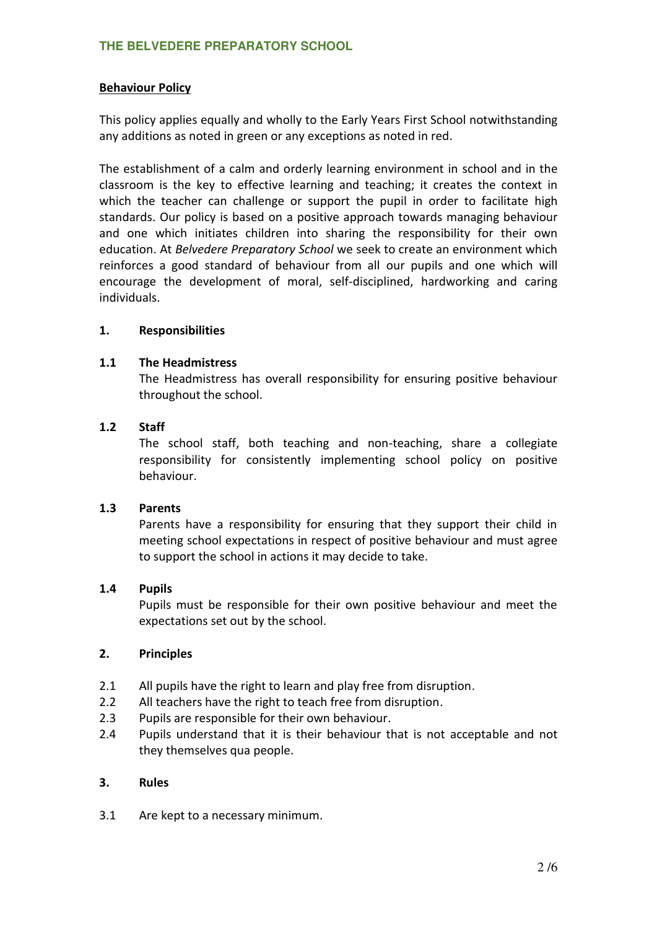#### **Behaviour Policy**

This policy applies equally and wholly to the Early Years First School notwithstanding any additions as noted in green or any exceptions as noted in red.

The establishment of a calm and orderly learning environment in school and in the classroom is the key to effective learning and teaching; it creates the context in which the teacher can challenge or support the pupil in order to facilitate high standards. Our policy is based on a positive approach towards managing behaviour and one which initiates children into sharing the responsibility for their own education. At *Belvedere Preparatory School* we seek to create an environment which reinforces a good standard of behaviour from all our pupils and one which will encourage the development of moral, self-disciplined, hardworking and caring individuals.

#### **1. Responsibilities**

#### **1.1 The Headmistress**

The Headmistress has overall responsibility for ensuring positive behaviour throughout the school.

#### **1.2 Staff**

The school staff, both teaching and non-teaching, share a collegiate responsibility for consistently implementing school policy on positive behaviour.

#### **1.3 Parents**

Parents have a responsibility for ensuring that they support their child in meeting school expectations in respect of positive behaviour and must agree to support the school in actions it may decide to take.

#### **1.4 Pupils**

Pupils must be responsible for their own positive behaviour and meet the expectations set out by the school.

#### **2. Principles**

- 2.1 All pupils have the right to learn and play free from disruption.
- 2.2 All teachers have the right to teach free from disruption.
- 2.3 Pupils are responsible for their own behaviour.
- 2.4 Pupils understand that it is their behaviour that is not acceptable and not they themselves qua people.

#### **3. Rules**

3.1 Are kept to a necessary minimum.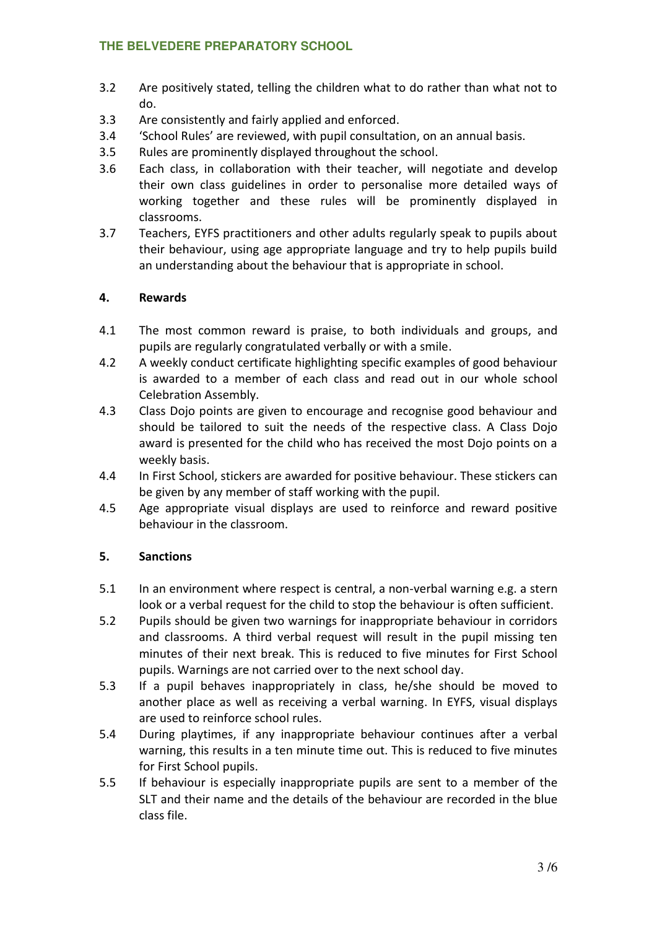- 3.2 Are positively stated, telling the children what to do rather than what not to do.
- 3.3 Are consistently and fairly applied and enforced.
- 3.4 'School Rules' are reviewed, with pupil consultation, on an annual basis.
- 3.5 Rules are prominently displayed throughout the school.
- 3.6 Each class, in collaboration with their teacher, will negotiate and develop their own class guidelines in order to personalise more detailed ways of working together and these rules will be prominently displayed in classrooms.
- 3.7 Teachers, EYFS practitioners and other adults regularly speak to pupils about their behaviour, using age appropriate language and try to help pupils build an understanding about the behaviour that is appropriate in school.

#### **4. Rewards**

- 4.1 The most common reward is praise, to both individuals and groups, and pupils are regularly congratulated verbally or with a smile.
- 4.2 A weekly conduct certificate highlighting specific examples of good behaviour is awarded to a member of each class and read out in our whole school Celebration Assembly.
- 4.3 Class Dojo points are given to encourage and recognise good behaviour and should be tailored to suit the needs of the respective class. A Class Dojo award is presented for the child who has received the most Dojo points on a weekly basis.
- 4.4 In First School, stickers are awarded for positive behaviour. These stickers can be given by any member of staff working with the pupil.
- 4.5 Age appropriate visual displays are used to reinforce and reward positive behaviour in the classroom.

# **5. Sanctions**

- 5.1 In an environment where respect is central, a non-verbal warning e.g. a stern look or a verbal request for the child to stop the behaviour is often sufficient.
- 5.2 Pupils should be given two warnings for inappropriate behaviour in corridors and classrooms. A third verbal request will result in the pupil missing ten minutes of their next break. This is reduced to five minutes for First School pupils. Warnings are not carried over to the next school day.
- 5.3 If a pupil behaves inappropriately in class, he/she should be moved to another place as well as receiving a verbal warning. In EYFS, visual displays are used to reinforce school rules.
- 5.4 During playtimes, if any inappropriate behaviour continues after a verbal warning, this results in a ten minute time out. This is reduced to five minutes for First School pupils.
- 5.5 If behaviour is especially inappropriate pupils are sent to a member of the SLT and their name and the details of the behaviour are recorded in the blue class file.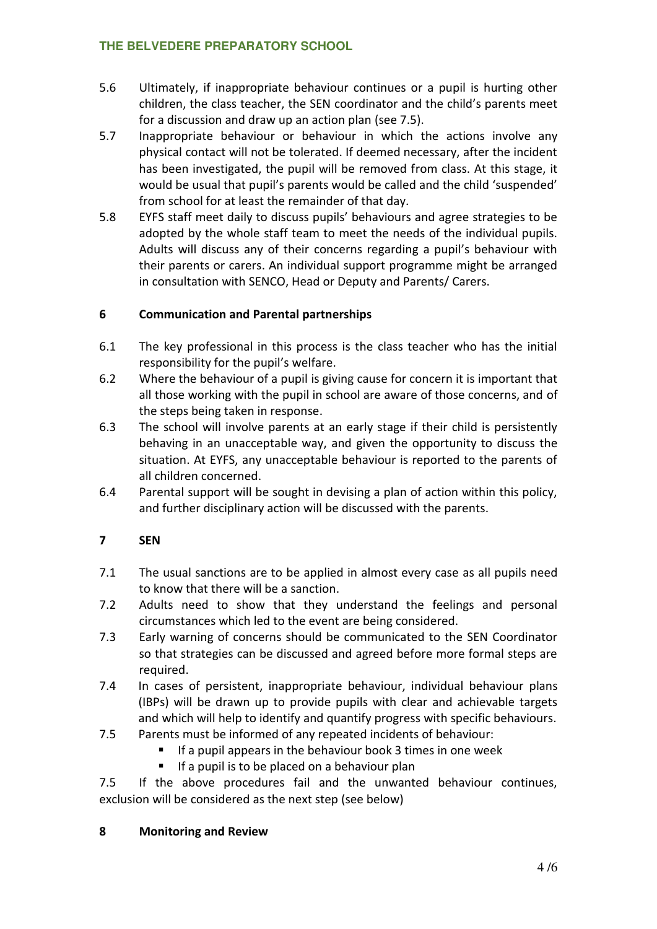- 5.6 Ultimately, if inappropriate behaviour continues or a pupil is hurting other children, the class teacher, the SEN coordinator and the child's parents meet for a discussion and draw up an action plan (see 7.5).
- 5.7 Inappropriate behaviour or behaviour in which the actions involve any physical contact will not be tolerated. If deemed necessary, after the incident has been investigated, the pupil will be removed from class. At this stage, it would be usual that pupil's parents would be called and the child 'suspended' from school for at least the remainder of that day.
- 5.8 EYFS staff meet daily to discuss pupils' behaviours and agree strategies to be adopted by the whole staff team to meet the needs of the individual pupils. Adults will discuss any of their concerns regarding a pupil's behaviour with their parents or carers. An individual support programme might be arranged in consultation with SENCO, Head or Deputy and Parents/ Carers.

# **6 Communication and Parental partnerships**

- 6.1 The key professional in this process is the class teacher who has the initial responsibility for the pupil's welfare.
- 6.2 Where the behaviour of a pupil is giving cause for concern it is important that all those working with the pupil in school are aware of those concerns, and of the steps being taken in response.
- 6.3 The school will involve parents at an early stage if their child is persistently behaving in an unacceptable way, and given the opportunity to discuss the situation. At EYFS, any unacceptable behaviour is reported to the parents of all children concerned.
- 6.4 Parental support will be sought in devising a plan of action within this policy, and further disciplinary action will be discussed with the parents.

# **7 SEN**

- 7.1 The usual sanctions are to be applied in almost every case as all pupils need to know that there will be a sanction.
- 7.2 Adults need to show that they understand the feelings and personal circumstances which led to the event are being considered.
- 7.3 Early warning of concerns should be communicated to the SEN Coordinator so that strategies can be discussed and agreed before more formal steps are required.
- 7.4 In cases of persistent, inappropriate behaviour, individual behaviour plans (IBPs) will be drawn up to provide pupils with clear and achievable targets and which will help to identify and quantify progress with specific behaviours.
- 7.5 Parents must be informed of any repeated incidents of behaviour:
	- $\blacksquare$  If a pupil appears in the behaviour book 3 times in one week
		- $\blacksquare$  If a pupil is to be placed on a behaviour plan

7.5 If the above procedures fail and the unwanted behaviour continues, exclusion will be considered as the next step (see below)

#### **8 Monitoring and Review**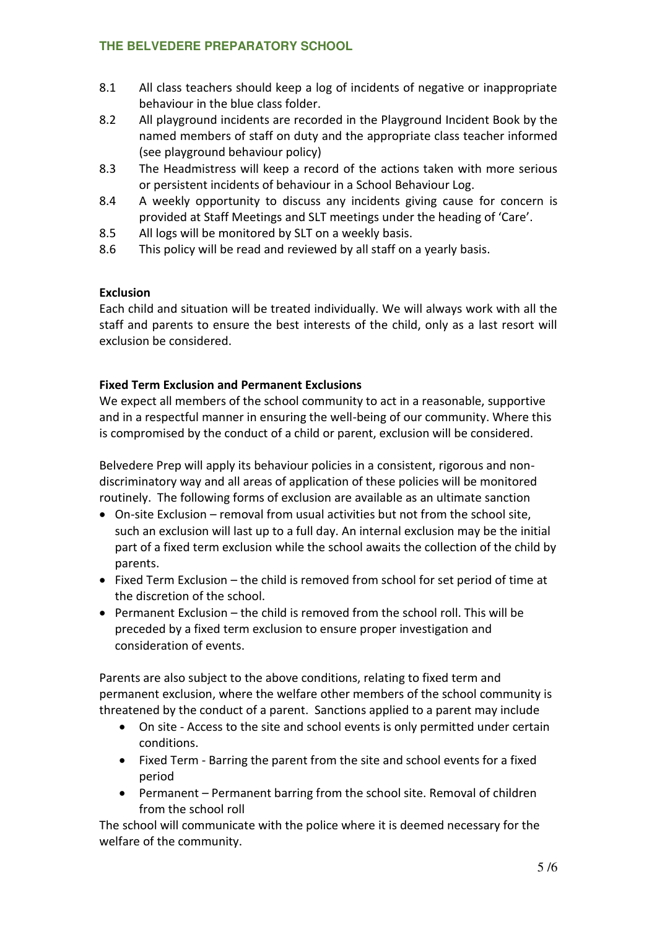- 8.1 All class teachers should keep a log of incidents of negative or inappropriate behaviour in the blue class folder.
- 8.2 All playground incidents are recorded in the Playground Incident Book by the named members of staff on duty and the appropriate class teacher informed (see playground behaviour policy)
- 8.3 The Headmistress will keep a record of the actions taken with more serious or persistent incidents of behaviour in a School Behaviour Log.
- 8.4 A weekly opportunity to discuss any incidents giving cause for concern is provided at Staff Meetings and SLT meetings under the heading of 'Care'.
- 8.5 All logs will be monitored by SLT on a weekly basis.
- 8.6 This policy will be read and reviewed by all staff on a yearly basis.

# **Exclusion**

Each child and situation will be treated individually. We will always work with all the staff and parents to ensure the best interests of the child, only as a last resort will exclusion be considered.

# **Fixed Term Exclusion and Permanent Exclusions**

We expect all members of the school community to act in a reasonable, supportive and in a respectful manner in ensuring the well-being of our community. Where this is compromised by the conduct of a child or parent, exclusion will be considered.

Belvedere Prep will apply its behaviour policies in a consistent, rigorous and nondiscriminatory way and all areas of application of these policies will be monitored routinely. The following forms of exclusion are available as an ultimate sanction

- On-site Exclusion removal from usual activities but not from the school site, such an exclusion will last up to a full day. An internal exclusion may be the initial part of a fixed term exclusion while the school awaits the collection of the child by parents.
- $\bullet$  Fixed Term Exclusion the child is removed from school for set period of time at the discretion of the school.
- Permanent Exclusion the child is removed from the school roll. This will be preceded by a fixed term exclusion to ensure proper investigation and consideration of events.

Parents are also subject to the above conditions, relating to fixed term and permanent exclusion, where the welfare other members of the school community is threatened by the conduct of a parent. Sanctions applied to a parent may include

- On site Access to the site and school events is only permitted under certain conditions.
- Fixed Term Barring the parent from the site and school events for a fixed period
- Permanent Permanent barring from the school site. Removal of children from the school roll

The school will communicate with the police where it is deemed necessary for the welfare of the community.